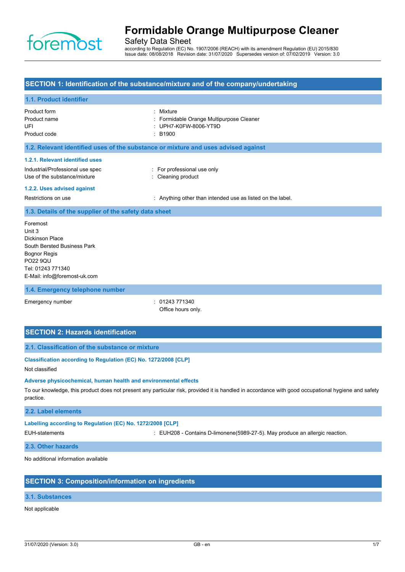

Safety Data Sheet

according to Regulation (EC) No. 1907/2006 (REACH) with its amendment Regulation (EU) 2015/830 Issue date: 08/08/2018 Revision date: 31/07/2020 Supersedes version of: 07/02/2019 Version: 3.0

## **SECTION 1: Identification of the substance/mixture and of the company/undertaking**

#### **1.1. Product identifier**

| Product form<br>Product name<br>UFI<br>Product code                                                                                                   | Mixture<br>Formidable Orange Multipurpose Cleaner<br>UPH7-K0FW-8006-YT9D<br>$\div$ B1900 |
|-------------------------------------------------------------------------------------------------------------------------------------------------------|------------------------------------------------------------------------------------------|
| 1.2. Relevant identified uses of the substance or mixture and uses advised against                                                                    |                                                                                          |
| 1.2.1. Relevant identified uses<br>Industrial/Professional use spec<br>Use of the substance/mixture                                                   | : For professional use only<br>: Cleaning product                                        |
| 1.2.2. Uses advised against                                                                                                                           |                                                                                          |
| Restrictions on use                                                                                                                                   | : Anything other than intended use as listed on the label.                               |
| 1.3. Details of the supplier of the safety data sheet                                                                                                 |                                                                                          |
| Foremost<br>Unit 3<br>Dickinson Place<br>South Bersted Business Park<br>Bognor Regis<br>PO22 9QU<br>Tel: 01243 771340<br>E-Mail: info@foremost-uk.com |                                                                                          |
| 1.4. Emergency telephone number                                                                                                                       |                                                                                          |
|                                                                                                                                                       |                                                                                          |

Emergency number : 01243 771340

Office hours only.

## **SECTION 2: Hazards identification**

### **2.1. Classification of the substance or mixture**

## **Classification according to Regulation (EC) No. 1272/2008 [CLP]**

Not classified

#### **Adverse physicochemical, human health and environmental effects**

To our knowledge, this product does not present any particular risk, provided it is handled in accordance with good occupational hygiene and safety practice.

#### **2.2. Label elements**

**Labelling according to Regulation (EC) No. 1272/2008 [CLP]**

EUH-statements : EUH208 - Contains D-limonene(5989-27-5). May produce an allergic reaction.

#### **2.3. Other hazards**

No additional information available

## **SECTION 3: Composition/information on ingredients**

#### **3.1. Substances**

#### Not applicable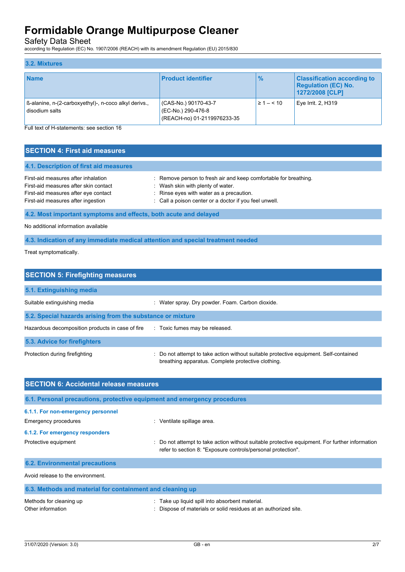Safety Data Sheet

according to Regulation (EC) No. 1907/2006 (REACH) with its amendment Regulation (EU) 2015/830

| 3.2. Mixtures                                                           |                                                                           |                    |                                                                                     |
|-------------------------------------------------------------------------|---------------------------------------------------------------------------|--------------------|-------------------------------------------------------------------------------------|
| <b>Name</b>                                                             | <b>Product identifier</b>                                                 | $\frac{9}{6}$      | <b>Classification according to</b><br><b>Regulation (EC) No.</b><br>1272/2008 [CLP] |
| B-alanine, n-(2-carboxyethyl)-, n-coco alkyl derivs.,<br>disodium salts | (CAS-No.) 90170-43-7<br>(EC-No.) 290-476-8<br>(REACH-no) 01-2119976233-35 | $\geq 1 - \leq 10$ | Eye Irrit. 2, H319                                                                  |

Full text of H-statements: see section 16

| <b>SECTION 4: First aid measures</b> |  |
|--------------------------------------|--|
|                                      |  |

| 4.1. Description of first aid measures                                                                                                                     |                                                                                                                                                                                                           |
|------------------------------------------------------------------------------------------------------------------------------------------------------------|-----------------------------------------------------------------------------------------------------------------------------------------------------------------------------------------------------------|
| First-aid measures after inhalation<br>First-aid measures after skin contact<br>First-aid measures after eye contact<br>First-aid measures after ingestion | : Remove person to fresh air and keep comfortable for breathing.<br>Wash skin with plenty of water.<br>: Rinse eyes with water as a precaution.<br>: Call a poison center or a doctor if you feel unwell. |
|                                                                                                                                                            |                                                                                                                                                                                                           |

## **4.2. Most important symptoms and effects, both acute and delayed**

No additional information available

## **4.3. Indication of any immediate medical attention and special treatment needed**

Treat symptomatically.

| <b>SECTION 5: Firefighting measures</b>                    |                                                                                                                                             |  |  |  |
|------------------------------------------------------------|---------------------------------------------------------------------------------------------------------------------------------------------|--|--|--|
| 5.1. Extinguishing media                                   |                                                                                                                                             |  |  |  |
| Suitable extinguishing media                               | : Water spray. Dry powder. Foam. Carbon dioxide.                                                                                            |  |  |  |
| 5.2. Special hazards arising from the substance or mixture |                                                                                                                                             |  |  |  |
| Hazardous decomposition products in case of fire           | : Toxic fumes may be released.                                                                                                              |  |  |  |
| 5.3. Advice for firefighters                               |                                                                                                                                             |  |  |  |
| Protection during firefighting                             | : Do not attempt to take action without suitable protective equipment. Self-contained<br>breathing apparatus. Complete protective clothing. |  |  |  |

| <b>SECTION 6: Accidental release measures</b>                            |                                                                                                                                                                |  |  |  |
|--------------------------------------------------------------------------|----------------------------------------------------------------------------------------------------------------------------------------------------------------|--|--|--|
| 6.1. Personal precautions, protective equipment and emergency procedures |                                                                                                                                                                |  |  |  |
| 6.1.1. For non-emergency personnel                                       |                                                                                                                                                                |  |  |  |
| Emergency procedures                                                     | : Ventilate spillage area.                                                                                                                                     |  |  |  |
| 6.1.2. For emergency responders                                          |                                                                                                                                                                |  |  |  |
| Protective equipment                                                     | : Do not attempt to take action without suitable protective equipment. For further information<br>refer to section 8: "Exposure controls/personal protection". |  |  |  |
| <b>6.2. Environmental precautions</b>                                    |                                                                                                                                                                |  |  |  |
| Avoid release to the environment.                                        |                                                                                                                                                                |  |  |  |
| 6.3. Methods and material for containment and cleaning up                |                                                                                                                                                                |  |  |  |
| Methods for cleaning up<br>Other information                             | Take up liquid spill into absorbent material.<br>: Dispose of materials or solid residues at an authorized site.                                               |  |  |  |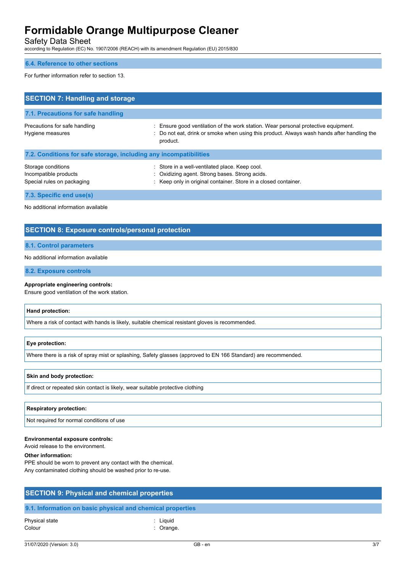Safety Data Sheet

according to Regulation (EC) No. 1907/2006 (REACH) with its amendment Regulation (EU) 2015/830

### **6.4. Reference to other sections**

For further information refer to section 13.

| <b>SECTION 7: Handling and storage</b>                                    |                                                                                                                                                                                              |  |  |  |
|---------------------------------------------------------------------------|----------------------------------------------------------------------------------------------------------------------------------------------------------------------------------------------|--|--|--|
| 7.1. Precautions for safe handling                                        |                                                                                                                                                                                              |  |  |  |
| Precautions for safe handling<br>Hygiene measures                         | : Ensure good ventilation of the work station. Wear personal protective equipment.<br>: Do not eat, drink or smoke when using this product. Always wash hands after handling the<br>product. |  |  |  |
| 7.2. Conditions for safe storage, including any incompatibilities         |                                                                                                                                                                                              |  |  |  |
| Storage conditions<br>Incompatible products<br>Special rules on packaging | : Store in a well-ventilated place. Keep cool.<br>: Oxidizing agent. Strong bases. Strong acids.<br>: Keep only in original container. Store in a closed container.                          |  |  |  |
| 7.3. Specific end use(s)                                                  |                                                                                                                                                                                              |  |  |  |

No additional information available

## **SECTION 8: Exposure controls/personal protection**

#### **8.1. Control parameters**

#### No additional information available

**8.2. Exposure controls**

#### **Appropriate engineering controls:**

Ensure good ventilation of the work station.

#### **Hand protection:**

Where a risk of contact with hands is likely, suitable chemical resistant gloves is recommended.

#### **Eye protection:**

Where there is a risk of spray mist or splashing, Safety glasses (approved to EN 166 Standard) are recommended.

#### **Skin and body protection:**

If direct or repeated skin contact is likely, wear suitable protective clothing

#### **Respiratory protection:**

Not required for normal conditions of use

#### **Environmental exposure controls:**

Avoid release to the environment.

#### **Other information:**

PPE should be worn to prevent any contact with the chemical. Any contaminated clothing should be washed prior to re-use.

| <b>SECTION 9: Physical and chemical properties</b>         |          |  |  |
|------------------------------------------------------------|----------|--|--|
| 9.1. Information on basic physical and chemical properties |          |  |  |
| Physical state                                             | : Liauid |  |  |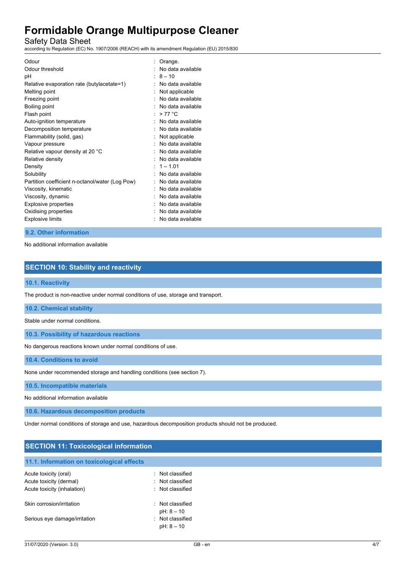Safety Data Sheet

according to Regulation (EC) No. 1907/2006 (REACH) with its amendment Regulation (EU) 2015/830

| Odour                                           | Orange.           |
|-------------------------------------------------|-------------------|
| Odour threshold                                 | No data available |
| рH                                              | $8 - 10$          |
| Relative evaporation rate (butylacetate=1)      | No data available |
| Melting point                                   | Not applicable    |
| Freezing point                                  | No data available |
| Boiling point                                   | No data available |
| Flash point                                     | $>77^{\circ}$ C   |
| Auto-ignition temperature                       | No data available |
| Decomposition temperature                       | No data available |
| Flammability (solid, gas)                       | Not applicable    |
| Vapour pressure                                 | No data available |
| Relative vapour density at 20 °C                | No data available |
| Relative density                                | No data available |
| Density                                         | $1 - 1.01$        |
| Solubility                                      | No data available |
| Partition coefficient n-octanol/water (Log Pow) | No data available |
| Viscosity, kinematic                            | No data available |
| Viscosity, dynamic                              | No data available |
| Explosive properties                            | No data available |
| Oxidising properties                            | No data available |
| <b>Explosive limits</b>                         | No data available |

#### **9.2. Other information**

No additional information available

## **SECTION 10: Stability and reactivity**

### **10.1. Reactivity**

The product is non-reactive under normal conditions of use, storage and transport.

## **10.2. Chemical stability**

Stable under normal conditions.

**10.3. Possibility of hazardous reactions**

No dangerous reactions known under normal conditions of use.

**10.4. Conditions to avoid**

None under recommended storage and handling conditions (see section 7).

**10.5. Incompatible materials**

No additional information available

**10.6. Hazardous decomposition products**

Under normal conditions of storage and use, hazardous decomposition products should not be produced.

## **SECTION 11: Toxicological information**

## **11.1. Information on toxicological effects**

| Acute toxicity (oral)         | · Not classified                 |
|-------------------------------|----------------------------------|
| Acute toxicity (dermal)       | · Not classified                 |
| Acute toxicity (inhalation)   | . Not classified                 |
| Skin corrosion/irritation     | : Not classified<br>$pH: 8 - 10$ |
| Serious eye damage/irritation | : Not classified<br>$pH: 8 - 10$ |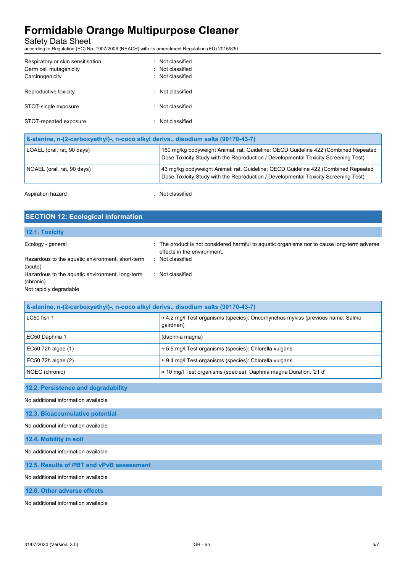Safety Data Sheet

according to Regulation (EC) No. 1907/2006 (REACH) with its amendment Regulation (EU) 2015/830

| Respiratory or skin sensitisation<br>Germ cell mutagenicity<br>Carcinogenicity | : Not classified<br>: Not classified<br>: Not classified |
|--------------------------------------------------------------------------------|----------------------------------------------------------|
| Reproductive toxicity                                                          | : Not classified                                         |
| STOT-single exposure                                                           | : Not classified                                         |
| STOT-repeated exposure                                                         | : Not classified                                         |

| B-alanine, n-(2-carboxyethyl)-, n-coco alkyl derivs., disodium salts (90170-43-7) |                                                                                                                                                                          |  |
|-----------------------------------------------------------------------------------|--------------------------------------------------------------------------------------------------------------------------------------------------------------------------|--|
| LOAEL (oral, rat, 90 days)                                                        | 160 mg/kg bodyweight Animal: rat, Guideline: OECD Guideline 422 (Combined Repeated<br>Dose Toxicity Study with the Reproduction / Developmental Toxicity Screening Test) |  |
| NOAEL (oral, rat, 90 days)                                                        | 43 mg/kg bodyweight Animal: rat, Guideline: OECD Guideline 422 (Combined Repeated<br>Dose Toxicity Study with the Reproduction / Developmental Toxicity Screening Test)  |  |

Aspiration hazard **in the set of the Contract Contract Contract Contract Contract Contract Contract Contract Contract Contract Contract Contract Contract Contract Contract Contract Contract Contract Contract Contract Contr** 

| <b>SECTION 12: Ecological information</b>                                              |                                                                                                                            |  |
|----------------------------------------------------------------------------------------|----------------------------------------------------------------------------------------------------------------------------|--|
| 12.1. Toxicity                                                                         |                                                                                                                            |  |
|                                                                                        |                                                                                                                            |  |
| Ecology - general                                                                      | : The product is not considered harmful to aquatic organisms nor to cause long-term adverse<br>effects in the environment. |  |
| Hazardous to the aquatic environment, short-term<br>(acute)                            | Not classified                                                                                                             |  |
| Hazardous to the aquatic environment, long-term<br>(chronic)<br>Not rapidly degradable | Not classified                                                                                                             |  |

| B-alanine, n-(2-carboxyethyl)-, n-coco alkyl derivs., disodium salts (90170-43-7) |                                                                                                      |  |
|-----------------------------------------------------------------------------------|------------------------------------------------------------------------------------------------------|--|
| LC50 fish 1                                                                       | $\approx$ 4.2 mg/l Test organisms (species): Oncorhynchus mykiss (previous name: Salmo<br>qairdneri) |  |
| EC50 Daphnia 1                                                                    | (daphnia magna)                                                                                      |  |
| EC50 72h algae (1)                                                                | $\approx$ 5.5 mg/l Test organisms (species): Chlorella vulgaris                                      |  |
| EC50 72h algae (2)                                                                | $\approx$ 9.4 mg/l Test organisms (species): Chlorella vulgaris                                      |  |
| NOEC (chronic)                                                                    | $\approx$ 10 mg/l Test organisms (species): Daphnia magna Duration: '21 d'                           |  |

### **12.2. Persistence and degradability**

No additional information available

**12.3. Bioaccumulative potential**

No additional information available

**12.4. Mobility in soil**

No additional information available

**12.5. Results of PBT and vPvB assessment**

No additional information available

**12.6. Other adverse effects**

No additional information available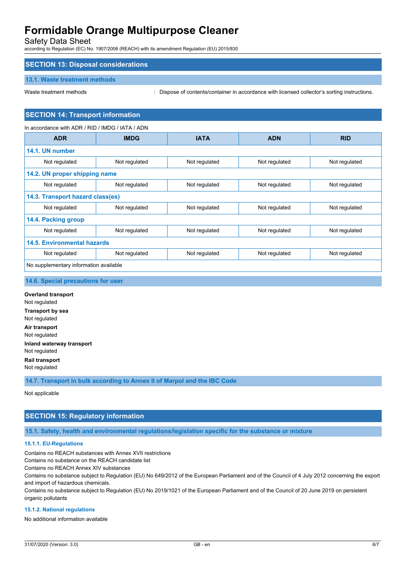Safety Data Sheet

according to Regulation (EC) No. 1907/2006 (REACH) with its amendment Regulation (EU) 2015/830

## **SECTION 13: Disposal considerations**

#### **13.1. Waste treatment methods**

Waste treatment methods : Dispose of contents/container in accordance with licensed collector's sorting instructions.

## **SECTION 14: Transport information**

In accordance with ADR / RID / IMDG / IATA / ADN **ADR IMDG IATA ADN RID 14.1. UN number** Not regulated Not regulated Not regulated Not regulated Not regulated Not regulated Not regulated **14.2. UN proper shipping name** Not regulated Not regulated Not regulated Not regulated Not regulated Not regulated Not regulated **14.3. Transport hazard class(es)** Not regulated Not regulated Not regulated Not regulated Not regulated Not regulated Not regulated **14.4. Packing group** Not regulated Not regulated Not regulated Not regulated Not regulated Not regulated Not regulated **14.5. Environmental hazards** Not regulated Not regulated Not regulated Not regulated Not regulated Not regulated Not regulated No supplementary information available

**14.6. Special precautions for user**

**Overland transport** Not regulated **Transport by sea** Not regulated **Air transport** Not regulated **Inland waterway transport** Not regulated **Rail transport** Not regulated

**14.7. Transport in bulk according to Annex II of Marpol and the IBC Code**

Not applicable

## **SECTION 15: Regulatory information**

**15.1. Safety, health and environmental regulations/legislation specific for the substance or mixture**

#### **15.1.1. EU-Regulations**

Contains no REACH substances with Annex XVII restrictions

Contains no substance on the REACH candidate list

Contains no REACH Annex XIV substances

Contains no substance subject to Regulation (EU) No 649/2012 of the European Parliament and of the Council of 4 July 2012 concerning the export and import of hazardous chemicals.

Contains no substance subject to Regulation (EU) No 2019/1021 of the European Parliament and of the Council of 20 June 2019 on persistent organic pollutants

#### **15.1.2. National regulations**

No additional information available